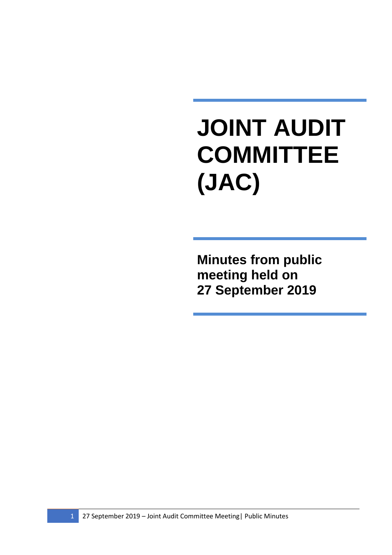## **JOINT AUDIT COMMITTEE (JAC)**

**Minutes from public meeting held on 27 September 2019**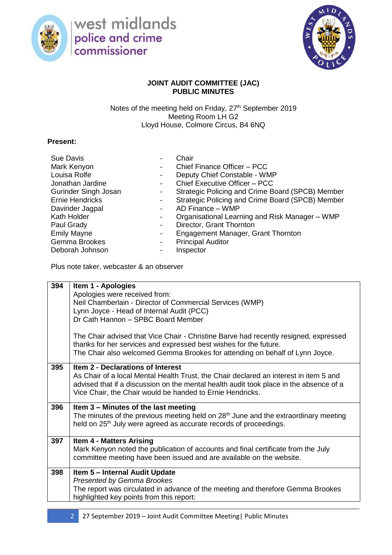

west midlands<br>police and crime commissioner



## **JOINT AUDIT COMMITTEE (JAC) PUBLIC MINUTES**

Notes of the meeting held on Friday, 27<sup>th</sup> September 2019 Meeting Room LH G2 Lloyd House, Colmore Circus, B4 6NQ

## **Present:**

| <b>Sue Davis</b>            | $\overline{\phantom{a}}$ | Chair                                            |
|-----------------------------|--------------------------|--------------------------------------------------|
| Mark Kenyon                 |                          | Chief Finance Officer - PCC                      |
| Louisa Rolfe                | -                        | Deputy Chief Constable - WMP                     |
| Jonathan Jardine            | $\blacksquare$           | Chief Executive Officer - PCC                    |
| <b>Gurinder Singh Josan</b> |                          | Strategic Policing and Crime Board (SPCB) Member |
| <b>Ernie Hendricks</b>      |                          | Strategic Policing and Crime Board (SPCB) Member |
| Davinder Jagpal             | $\overline{\phantom{a}}$ | AD Finance - WMP                                 |
| Kath Holder                 | $\blacksquare$           | Organisational Learning and Risk Manager - WMP   |
| Paul Grady                  | -                        | Director, Grant Thornton                         |
| <b>Emily Mayne</b>          | ۰                        | Engagement Manager, Grant Thornton               |
| Gemma Brookes               | $\blacksquare$           | <b>Principal Auditor</b>                         |
| Deborah Johnson             |                          | Inspector                                        |

Plus note taker, webcaster & an observer

| 394 | Item 1 - Apologies<br>Apologies were received from:<br>Neil Chamberlain - Director of Commercial Services (WMP)<br>Lynn Joyce - Head of Internal Audit (PCC)<br>Dr Cath Hannon - SPBC Board Member<br>The Chair advised that Vice Chair - Christine Barve had recently resigned, expressed<br>thanks for her services and expressed best wishes for the future.<br>The Chair also welcomed Gemma Brookes for attending on behalf of Lynn Joyce. |
|-----|-------------------------------------------------------------------------------------------------------------------------------------------------------------------------------------------------------------------------------------------------------------------------------------------------------------------------------------------------------------------------------------------------------------------------------------------------|
| 395 | <b>Item 2 - Declarations of Interest</b><br>As Chair of a local Mental Health Trust, the Chair declared an interest in item 5 and<br>advised that if a discussion on the mental health audit took place in the absence of a<br>Vice Chair, the Chair would be handed to Ernie Hendricks.                                                                                                                                                        |
| 396 | Item 3 – Minutes of the last meeting<br>The minutes of the previous meeting held on 28 <sup>th</sup> June and the extraordinary meeting<br>held on 25 <sup>th</sup> July were agreed as accurate records of proceedings.                                                                                                                                                                                                                        |
| 397 | <b>Item 4 - Matters Arising</b><br>Mark Kenyon noted the publication of accounts and final certificate from the July<br>committee meeting have been issued and are available on the website.                                                                                                                                                                                                                                                    |
| 398 | Item 5 - Internal Audit Update<br><b>Presented by Gemma Brookes</b><br>The report was circulated in advance of the meeting and therefore Gemma Brookes<br>highlighted key points from this report:                                                                                                                                                                                                                                              |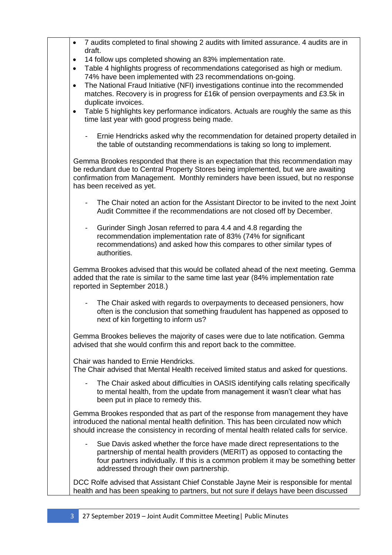| 7 audits completed to final showing 2 audits with limited assurance. 4 audits are in<br>$\bullet$<br>draft.                                                                                                                                                                                                                                                                                                                                     |
|-------------------------------------------------------------------------------------------------------------------------------------------------------------------------------------------------------------------------------------------------------------------------------------------------------------------------------------------------------------------------------------------------------------------------------------------------|
| 14 follow ups completed showing an 83% implementation rate.<br>$\bullet$<br>Table 4 highlights progress of recommendations categorised as high or medium.<br>$\bullet$<br>74% have been implemented with 23 recommendations on-going.<br>The National Fraud Initiative (NFI) investigations continue into the recommended<br>$\bullet$<br>matches. Recovery is in progress for £16k of pension overpayments and £3.5k in<br>duplicate invoices. |
| Table 5 highlights key performance indicators. Actuals are roughly the same as this<br>$\bullet$<br>time last year with good progress being made.                                                                                                                                                                                                                                                                                               |
| Ernie Hendricks asked why the recommendation for detained property detailed in<br>the table of outstanding recommendations is taking so long to implement.                                                                                                                                                                                                                                                                                      |
| Gemma Brookes responded that there is an expectation that this recommendation may<br>be redundant due to Central Property Stores being implemented, but we are awaiting<br>confirmation from Management. Monthly reminders have been issued, but no response<br>has been received as yet.                                                                                                                                                       |
| The Chair noted an action for the Assistant Director to be invited to the next Joint<br>$\overline{\phantom{0}}$<br>Audit Committee if the recommendations are not closed off by December.                                                                                                                                                                                                                                                      |
| Gurinder Singh Josan referred to para 4.4 and 4.8 regarding the<br>$\overline{\phantom{0}}$<br>recommendation implementation rate of 83% (74% for significant<br>recommendations) and asked how this compares to other similar types of<br>authorities.                                                                                                                                                                                         |
| Gemma Brookes advised that this would be collated ahead of the next meeting. Gemma<br>added that the rate is similar to the same time last year (84% implementation rate<br>reported in September 2018.)                                                                                                                                                                                                                                        |
| The Chair asked with regards to overpayments to deceased pensioners, how<br>$\overline{\phantom{0}}$<br>often is the conclusion that something fraudulent has happened as opposed to<br>next of kin forgetting to inform us?                                                                                                                                                                                                                    |
| Gemma Brookes believes the majority of cases were due to late notification. Gemma<br>advised that she would confirm this and report back to the committee.                                                                                                                                                                                                                                                                                      |
| Chair was handed to Ernie Hendricks.<br>The Chair advised that Mental Health received limited status and asked for questions.                                                                                                                                                                                                                                                                                                                   |
| The Chair asked about difficulties in OASIS identifying calls relating specifically<br>-<br>to mental health, from the update from management it wasn't clear what has<br>been put in place to remedy this.                                                                                                                                                                                                                                     |
| Gemma Brookes responded that as part of the response from management they have<br>introduced the national mental health definition. This has been circulated now which<br>should increase the consistency in recording of mental health related calls for service.                                                                                                                                                                              |
| Sue Davis asked whether the force have made direct representations to the<br>$\overline{\phantom{0}}$<br>partnership of mental health providers (MERIT) as opposed to contacting the<br>four partners individually. If this is a common problem it may be something better<br>addressed through their own partnership.                                                                                                                          |
| DCC Rolfe advised that Assistant Chief Constable Jayne Meir is responsible for mental<br>health and has been speaking to partners, but not sure if delays have been discussed                                                                                                                                                                                                                                                                   |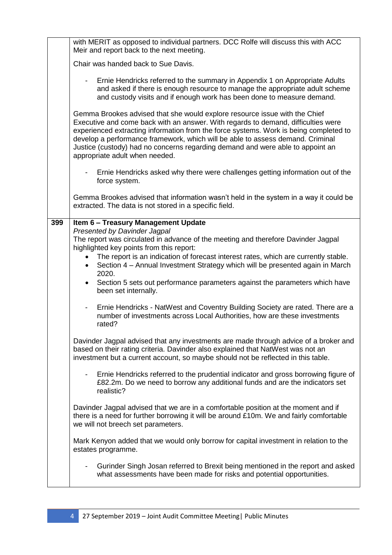|     | with MERIT as opposed to individual partners. DCC Rolfe will discuss this with ACC<br>Meir and report back to the next meeting.                                                                                                                                                                                                                                                                                                                                |
|-----|----------------------------------------------------------------------------------------------------------------------------------------------------------------------------------------------------------------------------------------------------------------------------------------------------------------------------------------------------------------------------------------------------------------------------------------------------------------|
|     | Chair was handed back to Sue Davis.                                                                                                                                                                                                                                                                                                                                                                                                                            |
|     | Ernie Hendricks referred to the summary in Appendix 1 on Appropriate Adults<br>$\sim$ 10 $\pm$<br>and asked if there is enough resource to manage the appropriate adult scheme<br>and custody visits and if enough work has been done to measure demand.                                                                                                                                                                                                       |
|     | Gemma Brookes advised that she would explore resource issue with the Chief<br>Executive and come back with an answer. With regards to demand, difficulties were<br>experienced extracting information from the force systems. Work is being completed to<br>develop a performance framework, which will be able to assess demand. Criminal<br>Justice (custody) had no concerns regarding demand and were able to appoint an<br>appropriate adult when needed. |
|     | Ernie Hendricks asked why there were challenges getting information out of the<br>force system.                                                                                                                                                                                                                                                                                                                                                                |
|     | Gemma Brookes advised that information wasn't held in the system in a way it could be<br>extracted. The data is not stored in a specific field.                                                                                                                                                                                                                                                                                                                |
| 399 | Item 6 - Treasury Management Update                                                                                                                                                                                                                                                                                                                                                                                                                            |
|     | Presented by Davinder Jagpal<br>The report was circulated in advance of the meeting and therefore Davinder Jagpal<br>highlighted key points from this report:                                                                                                                                                                                                                                                                                                  |
|     | The report is an indication of forecast interest rates, which are currently stable.<br>Section 4 – Annual Investment Strategy which will be presented again in March<br>$\bullet$<br>2020.                                                                                                                                                                                                                                                                     |
|     | Section 5 sets out performance parameters against the parameters which have<br>$\bullet$<br>been set internally.                                                                                                                                                                                                                                                                                                                                               |
|     | Ernie Hendricks - NatWest and Coventry Building Society are rated. There are a<br>$\overline{\phantom{0}}$<br>number of investments across Local Authorities, how are these investments<br>rated?                                                                                                                                                                                                                                                              |
|     | Davinder Jagpal advised that any investments are made through advice of a broker and<br>based on their rating criteria. Davinder also explained that NatWest was not an<br>investment but a current account, so maybe should not be reflected in this table.                                                                                                                                                                                                   |
|     | Ernie Hendricks referred to the prudential indicator and gross borrowing figure of<br>$\overline{\phantom{a}}$<br>£82.2m. Do we need to borrow any additional funds and are the indicators set<br>realistic?                                                                                                                                                                                                                                                   |
|     | Davinder Jagpal advised that we are in a comfortable position at the moment and if<br>there is a need for further borrowing it will be around £10m. We and fairly comfortable<br>we will not breech set parameters.                                                                                                                                                                                                                                            |
|     | Mark Kenyon added that we would only borrow for capital investment in relation to the<br>estates programme.                                                                                                                                                                                                                                                                                                                                                    |
|     | Gurinder Singh Josan referred to Brexit being mentioned in the report and asked<br>$\overline{\phantom{a}}$<br>what assessments have been made for risks and potential opportunities.                                                                                                                                                                                                                                                                          |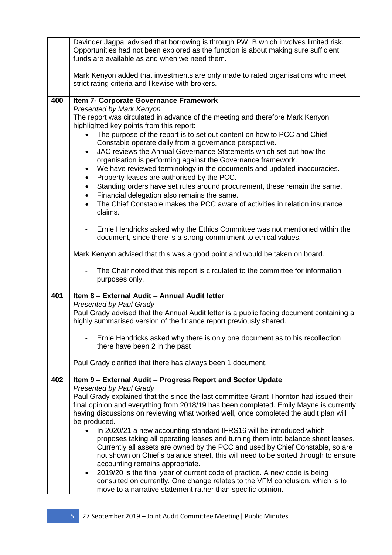|     | Davinder Jagpal advised that borrowing is through PWLB which involves limited risk.<br>Opportunities had not been explored as the function is about making sure sufficient<br>funds are available as and when we need them.                                                                                                                                                                                                                                                                                                                                                                                                                                                                                                                                                                                                                                                                                                                                                                               |
|-----|-----------------------------------------------------------------------------------------------------------------------------------------------------------------------------------------------------------------------------------------------------------------------------------------------------------------------------------------------------------------------------------------------------------------------------------------------------------------------------------------------------------------------------------------------------------------------------------------------------------------------------------------------------------------------------------------------------------------------------------------------------------------------------------------------------------------------------------------------------------------------------------------------------------------------------------------------------------------------------------------------------------|
|     | Mark Kenyon added that investments are only made to rated organisations who meet<br>strict rating criteria and likewise with brokers.                                                                                                                                                                                                                                                                                                                                                                                                                                                                                                                                                                                                                                                                                                                                                                                                                                                                     |
| 400 | Item 7- Corporate Governance Framework<br>Presented by Mark Kenyon<br>The report was circulated in advance of the meeting and therefore Mark Kenyon<br>highlighted key points from this report:<br>The purpose of the report is to set out content on how to PCC and Chief<br>Constable operate daily from a governance perspective.<br>JAC reviews the Annual Governance Statements which set out how the<br>$\bullet$<br>organisation is performing against the Governance framework.<br>We have reviewed terminology in the documents and updated inaccuracies.<br>$\bullet$<br>Property leases are authorised by the PCC.<br>$\bullet$<br>Standing orders have set rules around procurement, these remain the same.<br>$\bullet$<br>Financial delegation also remains the same.<br>$\bullet$<br>The Chief Constable makes the PCC aware of activities in relation insurance<br>$\bullet$<br>claims.                                                                                                   |
|     | Ernie Hendricks asked why the Ethics Committee was not mentioned within the<br>$\overline{\phantom{a}}$<br>document, since there is a strong commitment to ethical values.<br>Mark Kenyon advised that this was a good point and would be taken on board.<br>The Chair noted that this report is circulated to the committee for information<br>purposes only.                                                                                                                                                                                                                                                                                                                                                                                                                                                                                                                                                                                                                                            |
| 401 | Item 8 - External Audit - Annual Audit letter<br><b>Presented by Paul Grady</b><br>Paul Grady advised that the Annual Audit letter is a public facing document containing a<br>highly summarised version of the finance report previously shared.<br>Ernie Hendricks asked why there is only one document as to his recollection<br>there have been 2 in the past<br>Paul Grady clarified that there has always been 1 document.                                                                                                                                                                                                                                                                                                                                                                                                                                                                                                                                                                          |
| 402 | Item 9 - External Audit - Progress Report and Sector Update<br><b>Presented by Paul Grady</b><br>Paul Grady explained that the since the last committee Grant Thornton had issued their<br>final opinion and everything from 2018/19 has been completed. Emily Mayne is currently<br>having discussions on reviewing what worked well, once completed the audit plan will<br>be produced.<br>In 2020/21 a new accounting standard IFRS16 will be introduced which<br>proposes taking all operating leases and turning them into balance sheet leases.<br>Currently all assets are owned by the PCC and used by Chief Constable, so are<br>not shown on Chief's balance sheet, this will need to be sorted through to ensure<br>accounting remains appropriate.<br>2019/20 is the final year of current code of practice. A new code is being<br>$\bullet$<br>consulted on currently. One change relates to the VFM conclusion, which is to<br>move to a narrative statement rather than specific opinion. |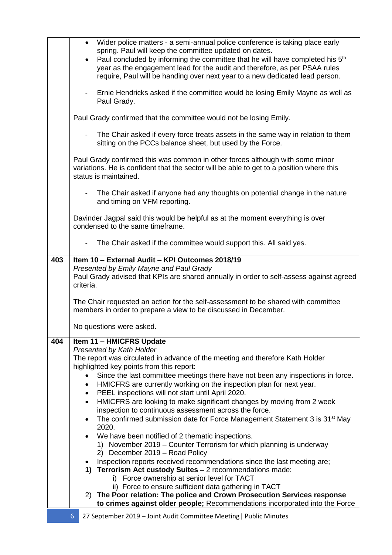|     | Wider police matters - a semi-annual police conference is taking place early                                                                                                                       |
|-----|----------------------------------------------------------------------------------------------------------------------------------------------------------------------------------------------------|
|     | spring. Paul will keep the committee updated on dates.<br>Paul concluded by informing the committee that he will have completed his 5 <sup>th</sup>                                                |
|     | year as the engagement lead for the audit and therefore, as per PSAA rules<br>require, Paul will be handing over next year to a new dedicated lead person.                                         |
|     | Ernie Hendricks asked if the committee would be losing Emily Mayne as well as                                                                                                                      |
|     | Paul Grady.                                                                                                                                                                                        |
|     | Paul Grady confirmed that the committee would not be losing Emily.                                                                                                                                 |
|     | The Chair asked if every force treats assets in the same way in relation to them<br>sitting on the PCCs balance sheet, but used by the Force.                                                      |
|     | Paul Grady confirmed this was common in other forces although with some minor<br>variations. He is confident that the sector will be able to get to a position where this<br>status is maintained. |
|     | The Chair asked if anyone had any thoughts on potential change in the nature<br>and timing on VFM reporting.                                                                                       |
|     | Davinder Jagpal said this would be helpful as at the moment everything is over<br>condensed to the same timeframe.                                                                                 |
|     | The Chair asked if the committee would support this. All said yes.                                                                                                                                 |
| 403 | Item 10 - External Audit - KPI Outcomes 2018/19                                                                                                                                                    |
|     | Presented by Emily Mayne and Paul Grady<br>Paul Grady advised that KPIs are shared annually in order to self-assess against agreed<br>criteria.                                                    |
|     | The Chair requested an action for the self-assessment to be shared with committee<br>members in order to prepare a view to be discussed in December.                                               |
|     | No questions were asked.                                                                                                                                                                           |
| 404 | Item 11 - HMICFRS Update                                                                                                                                                                           |
|     | <b>Presented by Kath Holder</b><br>The report was circulated in advance of the meeting and therefore Kath Holder                                                                                   |
|     | highlighted key points from this report:<br>Since the last committee meetings there have not been any inspections in force.                                                                        |
|     | HMICFRS are currently working on the inspection plan for next year.                                                                                                                                |
|     | PEEL inspections will not start until April 2020.<br>٠                                                                                                                                             |
|     | HMICFRS are looking to make significant changes by moving from 2 week<br>$\bullet$<br>inspection to continuous assessment across the force.                                                        |
|     | The confirmed submission date for Force Management Statement 3 is 31 <sup>st</sup> May<br>2020.                                                                                                    |
|     | We have been notified of 2 thematic inspections.                                                                                                                                                   |
|     | 1) November 2019 – Counter Terrorism for which planning is underway<br>2) December 2019 - Road Policy                                                                                              |
|     | Inspection reports received recommendations since the last meeting are;                                                                                                                            |
|     | 1) Terrorism Act custody Suites - 2 recommendations made:<br>i) Force ownership at senior level for TACT                                                                                           |
|     | ii) Force to ensure sufficient data gathering in TACT                                                                                                                                              |
|     | 2) The Poor relation: The police and Crown Prosecution Services response<br>to crimes against older people; Recommendations incorporated into the Force                                            |
|     |                                                                                                                                                                                                    |

## 6 27 September 2019 – Joint Audit Committee Meeting| Public Minutes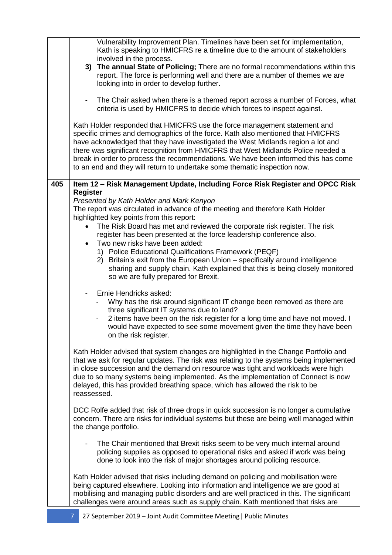|     | Vulnerability Improvement Plan. Timelines have been set for implementation,<br>Kath is speaking to HMICFRS re a timeline due to the amount of stakeholders<br>involved in the process.<br>3) The annual State of Policing; There are no formal recommendations within this<br>report. The force is performing well and there are a number of themes we are<br>looking into in order to develop further.<br>The Chair asked when there is a themed report across a number of Forces, what<br>$\overline{\phantom{a}}$<br>criteria is used by HMICFRS to decide which forces to inspect against.<br>Kath Holder responded that HMICFRS use the force management statement and                                                                                  |
|-----|--------------------------------------------------------------------------------------------------------------------------------------------------------------------------------------------------------------------------------------------------------------------------------------------------------------------------------------------------------------------------------------------------------------------------------------------------------------------------------------------------------------------------------------------------------------------------------------------------------------------------------------------------------------------------------------------------------------------------------------------------------------|
|     | specific crimes and demographics of the force. Kath also mentioned that HMICFRS<br>have acknowledged that they have investigated the West Midlands region a lot and<br>there was significant recognition from HMICFRS that West Midlands Police needed a<br>break in order to process the recommendations. We have been informed this has come<br>to an end and they will return to undertake some thematic inspection now.                                                                                                                                                                                                                                                                                                                                  |
| 405 | Item 12 - Risk Management Update, Including Force Risk Register and OPCC Risk<br><b>Register</b><br>Presented by Kath Holder and Mark Kenyon<br>The report was circulated in advance of the meeting and therefore Kath Holder<br>highlighted key points from this report:<br>The Risk Board has met and reviewed the corporate risk register. The risk<br>$\bullet$<br>register has been presented at the force leadership conference also.<br>Two new risks have been added:<br>$\bullet$<br>1) Police Educational Qualifications Framework (PEQF)<br>2) Britain's exit from the European Union - specifically around intelligence<br>sharing and supply chain. Kath explained that this is being closely monitored<br>so we are fully prepared for Brexit. |
|     | Ernie Hendricks asked:<br>$\overline{\phantom{a}}$<br>Why has the risk around significant IT change been removed as there are<br>three significant IT systems due to land?<br>2 items have been on the risk register for a long time and have not moved. I<br>would have expected to see some movement given the time they have been<br>on the risk register.                                                                                                                                                                                                                                                                                                                                                                                                |
|     | Kath Holder advised that system changes are highlighted in the Change Portfolio and<br>that we ask for regular updates. The risk was relating to the systems being implemented<br>in close succession and the demand on resource was tight and workloads were high<br>due to so many systems being implemented. As the implementation of Connect is now<br>delayed, this has provided breathing space, which has allowed the risk to be<br>reassessed.                                                                                                                                                                                                                                                                                                       |
|     | DCC Rolfe added that risk of three drops in quick succession is no longer a cumulative<br>concern. There are risks for individual systems but these are being well managed within<br>the change portfolio.                                                                                                                                                                                                                                                                                                                                                                                                                                                                                                                                                   |
|     | The Chair mentioned that Brexit risks seem to be very much internal around<br>policing supplies as opposed to operational risks and asked if work was being<br>done to look into the risk of major shortages around policing resource.                                                                                                                                                                                                                                                                                                                                                                                                                                                                                                                       |
|     | Kath Holder advised that risks including demand on policing and mobilisation were<br>being captured elsewhere. Looking into information and intelligence we are good at<br>mobilising and managing public disorders and are well practiced in this. The significant<br>challenges were around areas such as supply chain. Kath mentioned that risks are                                                                                                                                                                                                                                                                                                                                                                                                      |